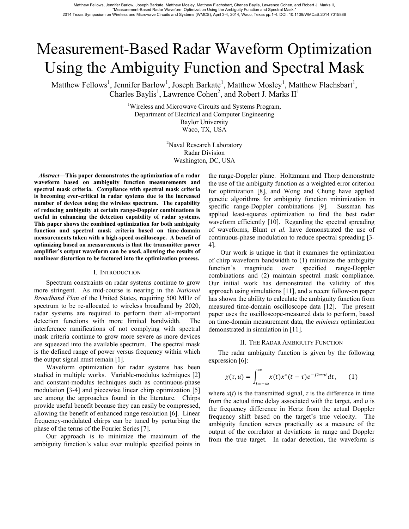# Measurement-Based Radar Waveform Optimization Using the Ambiguity Function and Spectral Mask

Matthew Fellows<sup>1</sup>, Jennifer Barlow<sup>1</sup>, Joseph Barkate<sup>1</sup>, Matthew Mosley<sup>1</sup>, Matthew Flachsbart<sup>1</sup>, Charles Baylis<sup>1</sup>, Lawrence Cohen<sup>2</sup>, and Robert J. Marks  $II<sup>1</sup>$ 

> <sup>1</sup>Wireless and Microwave Circuits and Systems Program, Department of Electrical and Computer Engineering Baylor University Waco, TX, USA

> > <sup>2</sup>Naval Research Laboratory Radar Division Washington, DC, USA

 *Abstract***—This paper demonstrates the optimization of a radar waveform based on ambiguity function measurements and spectral mask criteria. Compliance with spectral mask criteria is becoming ever-critical in radar systems due to the increased number of devices using the wireless spectrum. The capability of reducing ambiguity at certain range-Doppler combinations is useful in enhancing the detection capability of radar systems. This paper shows the combined optimization for both ambiguity function and spectral mask criteria based on time-domain measurements taken with a high-speed oscilloscope. A benefit of optimizing based on measurements is that the transmitter power amplifier's output waveform can be used, allowing the results of nonlinear distortion to be factored into the optimization process.** 

## I. INTRODUCTION

Spectrum constraints on radar systems continue to grow more stringent. As mid-course is nearing in the *National Broadband Plan* of the United States, requiring 500 MHz of spectrum to be re-allocated to wireless broadband by 2020, radar systems are required to perform their all-important detection functions with more limited bandwidth. The interference ramifications of not complying with spectral mask criteria continue to grow more severe as more devices are squeezed into the available spectrum. The spectral mask is the defined range of power versus frequency within which the output signal must remain [1].

Waveform optimization for radar systems has been studied in multiple works. Variable-modulus techniques [2] and constant-modulus techniques such as continuous-phase modulation [3-4] and piecewise linear chirp optimization [5] are among the approaches found in the literature. Chirps provide useful benefit because they can easily be compressed, allowing the benefit of enhanced range resolution [6]. Linear frequency-modulated chirps can be tuned by perturbing the phase of the terms of the Fourier Series [7].

Our approach is to minimize the maximum of the ambiguity function's value over multiple specified points in

the range-Doppler plane. Holtzmann and Thorp demonstrate the use of the ambiguity function as a weighted error criterion for optimization [8], and Wong and Chung have applied genetic algorithms for ambiguity function minimization in specific range-Doppler combinations [9]. Sussman has applied least-squares optimization to find the best radar waveform efficiently [10]. Regarding the spectral spreading of waveforms, Blunt *et al.* have demonstrated the use of continuous-phase modulation to reduce spectral spreading [3- 4].

Our work is unique in that it examines the optimization of chirp waveform bandwidth to (1) minimize the ambiguity function's magnitude over specified range-Doppler combinations and (2) maintain spectral mask compliance. Our initial work has demonstrated the validity of this approach using simulations [11], and a recent follow-on paper has shown the ability to calculate the ambiguity function from measured time-domain oscilloscope data [12]. The present paper uses the oscilloscope-measured data to perform, based on time-domain measurement data, the *minimax* optimization demonstrated in simulation in [11].

#### II. THE RADAR AMBIGUITY FUNCTION

The radar ambiguity function is given by the following expression [6]:

$$
\chi(\tau, u) = \int_{t=-\infty}^{\infty} x(t) x^*(t-\tau) e^{-j2\pi ut} dt, \qquad (1)
$$

where  $x(t)$  is the transmitted signal,  $\tau$  is the difference in time from the actual time delay associated with the target, and *u* is the frequency difference in Hertz from the actual Doppler frequency shift based on the target's true velocity. The ambiguity function serves practically as a measure of the output of the correlator at deviations in range and Doppler from the true target. In radar detection, the waveform is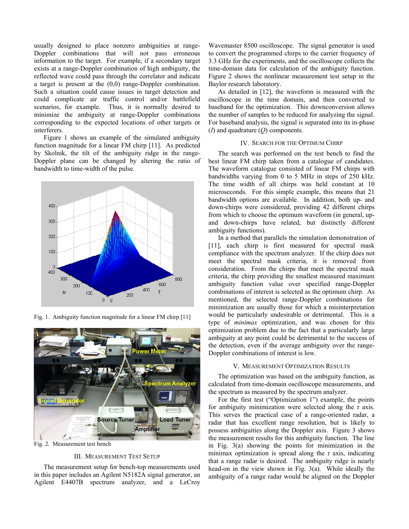usually designed to place nonzero ambiguities at range-Doppler combinations that will not pass erroneous information to the target. For example, if a secondary target exists at a range-Doppler combination of high ambiguity, the reflected wave could pass through the correlator and indicate a target is present at the (0,0) range-Doppler combination. Such a situation could cause issues in target detection and could complicate air traffic control and/or battlefield scenarios, for example. Thus, it is normally desired to minimize the ambiguity at range-Doppler combinations corresponding to the expected locations of other targets or interferers.

Figure 1 shows an example of the simulated ambiguity function magnitude for a linear FM chirp [11]. As predicted by Skolnik, the tilt of the ambiguity ridge in the range-Doppler plane can be changed by altering the ratio of bandwidth to time-width of the pulse.



Fig. 1. Ambiguity function magnitude for a linear FM chirp [11]



Fig. 2. Measurement test bench

#### III. MEASUREMENT TEST SETUP

The measurement setup for bench-top measurements used in this paper includes an Agilent N5182A signal generator, an Agilent E4407B spectrum analyzer, and a LeCroy Wavemaster 8500 oscilloscope. The signal generator is used to convert the programmed chirps to the carrier frequency of 3.3 GHz for the experiments, and the oscilloscope collects the time-domain data for calculation of the ambiguity function. Figure 2 shows the nonlinear measurement test setup in the Baylor research laboratory.

As detailed in [12], the waveform is measured with the oscilloscope in the time domain, and then converted to baseband for the optimization. This downconversion allows the number of samples to be reduced for analyzing the signal. For baseband analysis, the signal is separated into its in-phase (*I*) and quadrature (*Q*) components.

# IV. SEARCH FOR THE OPTIMUM CHIRP

The search was performed on the test bench to find the best linear FM chirp taken from a catalogue of candidates. The waveform catalogue consisted of linear FM chirps with bandwidths varying from 0 to 5 MHz in steps of 250 kHz. The time width of all chirps was held constant at 10 microseconds. For this simple example, this means that 21 bandwidth options are available. In addition, both up- and down-chirps were considered, providing 42 different chirps from which to choose the optimum waveform (in general, upand down-chirps have related, but distinctly different ambiguity functions).

In a method that parallels the simulation demonstration of [11], each chirp is first measured for spectral mask compliance with the spectrum analyzer. If the chirp does not meet the spectral mask criteria, it is removed from consideration. From the chirps that meet the spectral mask criteria, the chirp providing the smallest measured maximum ambiguity function value over specified range-Doppler combinations of interest is selected as the optimum chirp. As mentioned, the selected range-Doppler combinations for minimization are usually those for which a misinterpretation would be particularly undesirable or detrimental. This is a type of *minimax* optimization, and was chosen for this optimization problem due to the fact that a particularly large ambiguity at any point could be detrimental to the success of the detection, even if the average ambiguity over the range-Doppler combinations of interest is low.

#### V. MEASUREMENT OPTIMIZATION RESULTS

The optimization was based on the ambiguity function, as calculated from time-domain oscilloscope measurements, and the spectrum as measured by the spectrum analyzer.

For the first test ("Optimization 1") example, the points for ambiguity minimization were selected along the *τ* axis. This serves the practical case of a range-oriented radar, a radar that has excellent range resolution, but is likely to possess ambiguities along the Doppler axis. Figure 3 shows the measurement results for this ambiguity function. The line in Fig. 3(a) showing the points for minimization in the minimax optimization is spread along the *τ* axis, indicating that a range radar is desired. The ambiguity ridge is nearly head-on in the view shown in Fig. 3(a). While ideally the ambiguity of a range radar would be aligned on the Doppler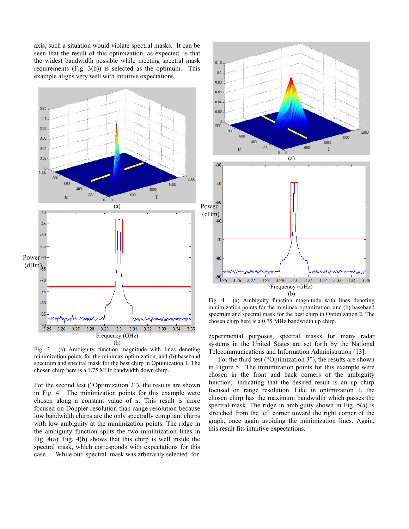axis, such a situation would violate spectral masks. It can be seen that the result of this optimization, as expected, is that the widest bandwidth possible while meeting spectral mask requirements (Fig. 3(b)) is selected as the optimum. This example aligns very well with intuitive expectations.



Fig. 3. (a) Ambiguity function magnitude with lines denoting minimization points for the minimax optimization, and (b) baseband spectrum and spectral mask for the best chirp in Optimization 1. The chosen chirp here is a 1.75 MHz bandwidth down chirp.

For the second test ("Optimization 2"), the results are shown in Fig. 4. The minimization points for this example were chosen along a constant value of *u*. This result is more focused on Doppler resolution than range resolution because low bandwidth chirps are the only spectrally compliant chirps with low ambiguity at the minimization points. The ridge in the ambiguity function splits the two minimization lines in Fig. 4(a). Fig. 4(b) shows that this chirp is well inside the spectral mask, which corresponds with expectations for this case. While our spectral mask was arbitrarily selected for



Fig. 4. (a) Ambiguity function magnitude with lines denoting minimization points for the minimax optimization, and (b) baseband spectrum and spectral mask for the best chirp in Optimization 2. The chosen chirp here is a 0.75 MHz bandwidth up chirp.

experimental purposes, spectral masks for many radar systems in the United States are set forth by the National Telecommunications and Information Administration [13].

For the third test ("Optimization 3"), the results are shown in Figure 5. The minimization points for this example were chosen in the front and back corners of the ambiguity function, indicating that the desired result is an up chirp focused on range resolution. Like in optimization 1, the chosen chirp has the maximum bandwidth which passes the spectral mask. The ridge in ambiguity shown in Fig. 5(a) is stretched from the left corner toward the right corner of the graph, once again avoiding the minimization lines. Again, this result fits intuitive expectations.